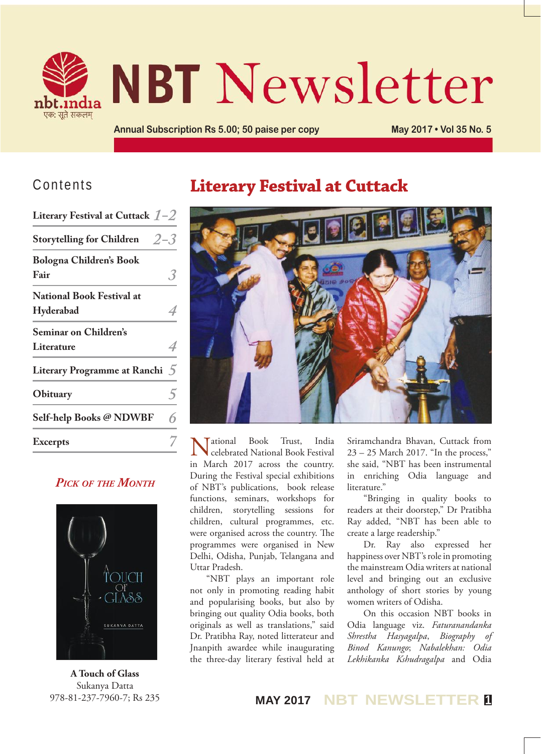

# **NBT Newsletter**

**Annual Subscription Rs 5.00; 50 paise per copy May 2017 • Vol 35 No. 5**

#### Contents

| Literary Festival at Cuttack $1-2$            |                |
|-----------------------------------------------|----------------|
| $2 - 3$<br><b>Storytelling for Children</b>   |                |
| <b>Bologna Children's Book</b><br>Fair        |                |
| <b>National Book Festival at</b><br>Hyderabad |                |
| <b>Seminar on Children's</b><br>Literature    |                |
| <b>Literary Programme at Ranchi</b>           | $\overline{5}$ |
| Obituary                                      |                |
| Self-help Books @ NDWBF                       |                |
| <b>Excerpts</b>                               |                |
|                                               |                |

#### *Pick of the Month*



**A Touch of Glass** Sukanya Datta 978-81-237-7960-7; Rs 235

# **Literary Festival at Cuttack**



National Book Trust, India celebrated National Book Festival in March 2017 across the country. During the Festival special exhibitions of NBT's publications, book release functions, seminars, workshops for children, storytelling sessions for children, cultural programmes, etc. were organised across the country. The programmes were organised in New Delhi, Odisha, Punjab, Telangana and Uttar Pradesh.

"NBT plays an important role not only in promoting reading habit and popularising books, but also by bringing out quality Odia books, both originals as well as translations," said Dr. Pratibha Ray, noted litterateur and Jnanpith awardee while inaugurating the three-day literary festival held at

Sriramchandra Bhavan, Cuttack from 23 – 25 March 2017. "In the process," she said, "NBT has been instrumental in enriching Odia language and literature."

"Bringing in quality books to readers at their doorstep," Dr Pratibha Ray added, "NBT has been able to create a large readership."

Dr. Ray also expressed her happiness over NBT's role in promoting the mainstream Odia writers at national level and bringing out an exclusive anthology of short stories by young women writers of Odisha.

On this occasion NBT books in Odia language viz. *Faturanandanka Shrestha Hasyagalpa*, *Biography of Binod Kanungo*; *Nabalekhan: Odia Lekhikanka Kshudragalpa* and Odia

**MAY 2017 NBT NEWSLETTER <sup>1</sup>**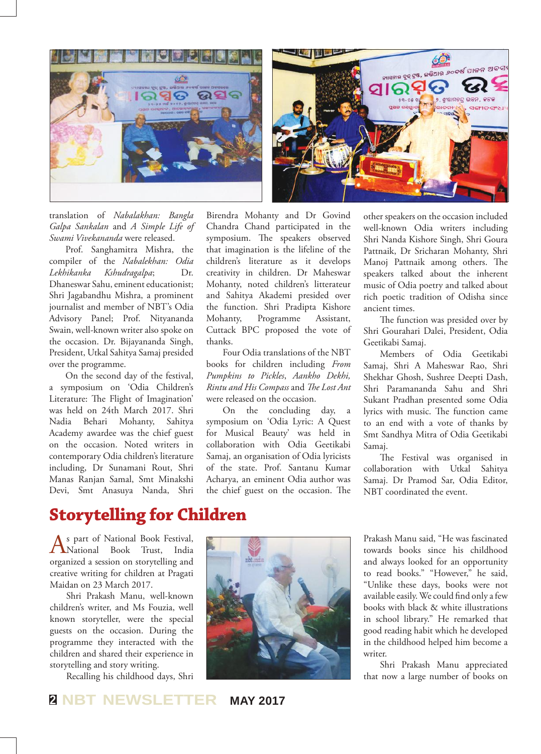



translation of *Nabalakhan: Bangla Galpa Sankalan* and *A Simple Life of Swami Vivekananda* were released.

Prof. Sanghamitra Mishra, the compiler of the *Nabalekhan: Odia Lekhikanka Kshudragalpa*; Dr. Dhaneswar Sahu, eminent educationist; Shri Jagabandhu Mishra, a prominent journalist and member of NBT's Odia Advisory Panel; Prof. Nityananda Swain, well-known writer also spoke on the occasion. Dr. Bijayananda Singh, President, Utkal Sahitya Samaj presided over the programme.

On the second day of the festival, a symposium on 'Odia Children's Literature: The Flight of Imagination' was held on 24th March 2017. Shri Nadia Behari Mohanty, Sahitya Academy awardee was the chief guest on the occasion. Noted writers in contemporary Odia children's literature including, Dr Sunamani Rout, Shri Manas Ranjan Samal, Smt Minakshi Devi, Smt Anasuya Nanda, Shri

Birendra Mohanty and Dr Govind Chandra Chand participated in the symposium. The speakers observed that imagination is the lifeline of the children's literature as it develops creativity in children. Dr Maheswar Mohanty, noted children's litterateur and Sahitya Akademi presided over the function. Shri Pradipta Kishore Mohanty, Programme Assistant, Cuttack BPC proposed the vote of thanks.

Four Odia translations of the NBT books for children including *From Pumpkins to Pickles*, *Aankho Dekhi, Rintu and His Compass* and *The Lost Ant* were released on the occasion.

On the concluding day, a symposium on 'Odia Lyric: A Quest for Musical Beauty' was held in collaboration with Odia Geetikabi Samaj, an organisation of Odia lyricists of the state. Prof. Santanu Kumar Acharya, an eminent Odia author was the chief guest on the occasion. The

other speakers on the occasion included well-known Odia writers including Shri Nanda Kishore Singh, Shri Goura Pattnaik, Dr Sricharan Mohanty, Shri Manoj Pattnaik among others. The speakers talked about the inherent music of Odia poetry and talked about rich poetic tradition of Odisha since ancient times.

The function was presided over by Shri Gourahari Dalei, President, Odia Geetikabi Samaj.

Members of Odia Geetikabi Samaj, Shri A Maheswar Rao, Shri Shekhar Ghosh, Sushree Deepti Dash, Shri Paramananda Sahu and Shri Sukant Pradhan presented some Odia lyrics with music. The function came to an end with a vote of thanks by Smt Sandhya Mitra of Odia Geetikabi Samaj.

The Festival was organised in collaboration with Utkal Sahitya Samaj. Dr Pramod Sar, Odia Editor, NBT coordinated the event.

## **Storytelling for Children**

As part of National Book Festival, National Book Trust, India organized a session on storytelling and creative writing for children at Pragati Maidan on 23 March 2017.

Shri Prakash Manu, well-known children's writer, and Ms Fouzia, well known storyteller, were the special guests on the occasion. During the programme they interacted with the children and shared their experience in storytelling and story writing.

Recalling his childhood days, Shri



Prakash Manu said, "He was fascinated towards books since his childhood and always looked for an opportunity to read books." "However," he said, "Unlike these days, books were not available easily. We could find only a few books with black & white illustrations in school library." He remarked that good reading habit which he developed in the childhood helped him become a writer.

Shri Prakash Manu appreciated that now a large number of books on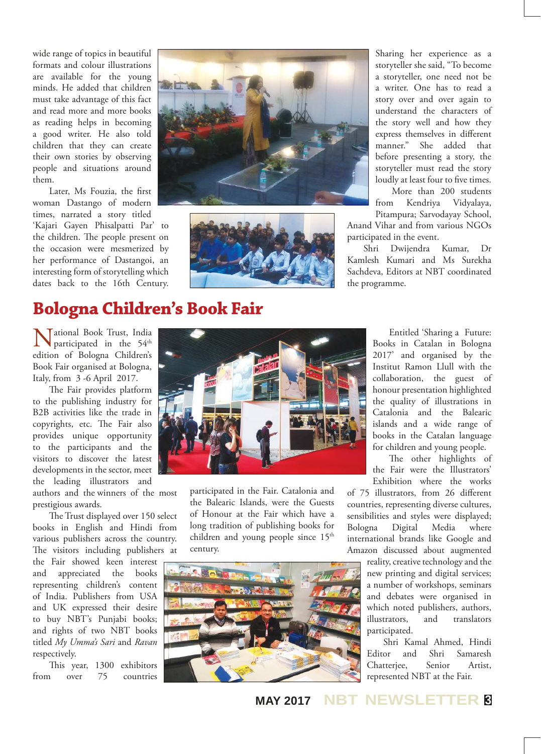wide range of topics in beautiful formats and colour illustrations are available for the young minds. He added that children must take advantage of this fact and read more and more books as reading helps in becoming a good writer. He also told children that they can create their own stories by observing people and situations around them.

Later, Ms Fouzia, the first woman Dastango of modern times, narrated a story titled 'Kajari Gayen Phisalpatti Par' to the children. The people present on the occasion were mesmerized by her performance of Dastangoi, an interesting form of storytelling which dates back to the 16th Century.





Sharing her experience as a storyteller she said, "To become a storyteller, one need not be a writer. One has to read a story over and over again to understand the characters of the story well and how they express themselves in different manner." She added that before presenting a story, the storyteller must read the story loudly at least four to five times.

More than 200 students from Kendriya Vidyalaya, Pitampura; Sarvodayay School,

Anand Vihar and from various NGOs participated in the event.

Shri Dwijendra Kumar, Dr Kamlesh Kumari and Ms Surekha Sachdeva, Editors at NBT coordinated the programme.

#### **Bologna Children's Book Fair**

Mational Book Trust, India<br>participated in the 54<sup>th</sup> edition of Bologna Children's Book Fair organised at Bologna, Italy, from 3 -6 April 2017.

The Fair provides platform to the publishing industry for B2B activities like the trade in copyrights, etc. The Fair also provides unique opportunity to the participants and the visitors to discover the latest developments in the sector, meet the leading illustrators and

authors and the winners of the most prestigious awards.

The Trust displayed over 150 select books in English and Hindi from various publishers across the country. The visitors including publishers at

the Fair showed keen interest and appreciated the books representing children's content of India. Publishers from USA and UK expressed their desire to buy NBT's Punjabi books; and rights of two NBT books titled *My Umma's Sari* and *Ravan* respectively.

This year, 1300 exhibitors from over 75 countries



participated in the Fair. Catalonia and the Balearic Islands, were the Guests of Honour at the Fair which have a long tradition of publishing books for children and young people since  $15<sup>th</sup>$ century.



Entitled 'Sharing a Future: Books in Catalan in Bologna 2017' and organised by the Institut Ramon Llull with the collaboration, the guest of honour presentation highlighted the quality of illustrations in Catalonia and the Balearic islands and a wide range of books in the Catalan language for children and young people.

The other highlights of the Fair were the Illustrators' Exhibition where the works

of 75 illustrators, from 26 different countries, representing diverse cultures, sensibilities and styles were displayed; Bologna Digital Media where international brands like Google and Amazon discussed about augmented

reality, creative technology and the new printing and digital services; a number of workshops, seminars and debates were organised in which noted publishers, authors, illustrators, and translators participated.

Shri Kamal Ahmed, Hindi Editor and Shri Samaresh Chatterjee, Senior Artist, represented NBT at the Fair.

#### **MAY 2017 NBT NEWSLETTER <sup>3</sup>**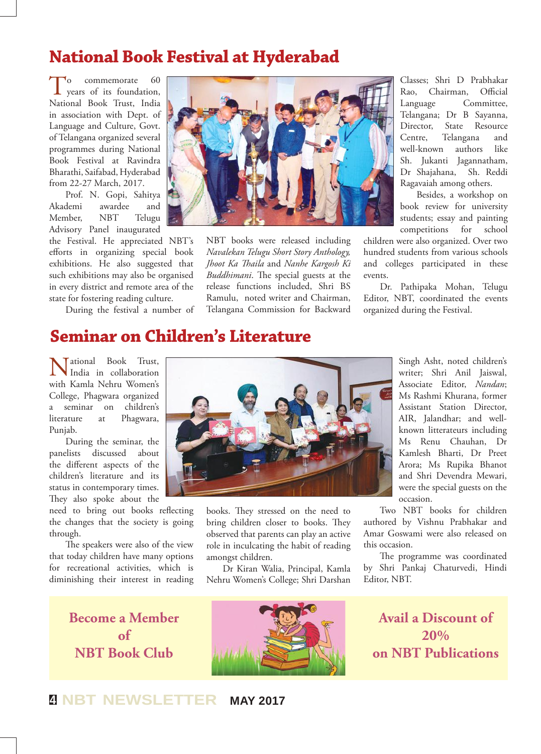#### **National Book Festival at Hyderabad**

 $\int_{\text{years of its foundation}}^{0}$  commemorate 60 National Book Trust, India in association with Dept. of Language and Culture, Govt. of Telangana organized several programmes during National Book Festival at Ravindra Bharathi, Saifabad, Hyderabad from 22-27 March, 2017.

Prof. N. Gopi, Sahitya Akademi awardee and Member, NBT Telugu Advisory Panel inaugurated

the Festival. He appreciated NBT's efforts in organizing special book exhibitions. He also suggested that such exhibitions may also be organised in every district and remote area of the state for fostering reading culture.

During the festival a number of



NBT books were released including *Navalekan Telugu Short Story Anthology, Jhoot Ka Thaila* and *Nanhe Kargosh Ki Buddhimani*. The special guests at the release functions included, Shri BS Ramulu, noted writer and Chairman, Telangana Commission for Backward

Classes; Shri D Prabhakar Rao, Chairman, Official Language Committee, Telangana; Dr B Sayanna, Director, State Resource Centre, Telangana and well-known authors like Sh. Jukanti Jagannatham, Dr Shajahana, Sh. Reddi Ragavaiah among others.

Besides, a workshop on book review for university students; essay and painting competitions for school

children were also organized. Over two hundred students from various schools and colleges participated in these events.

Dr. Pathipaka Mohan, Telugu Editor, NBT, coordinated the events organized during the Festival.

#### **Seminar on Children's Literature**

Tational Book Trust, India in collaboration with Kamla Nehru Women's College, Phagwara organized a seminar on children's literature at Phagwara, Punjab.

During the seminar, the panelists discussed about the different aspects of the children's literature and its status in contemporary times. They also spoke about the

need to bring out books reflecting the changes that the society is going through.

The speakers were also of the view that today children have many options for recreational activities, which is diminishing their interest in reading



books. They stressed on the need to bring children closer to books. They observed that parents can play an active role in inculcating the habit of reading amongst children.

Dr Kiran Walia, Principal, Kamla Nehru Women's College; Shri Darshan

Singh Asht, noted children's writer; Shri Anil Jaiswal, Associate Editor, *Nandan*; Ms Rashmi Khurana, former Assistant Station Director, AIR, Jalandhar; and wellknown litterateurs including Ms Renu Chauhan, Dr Kamlesh Bharti, Dr Preet Arora; Ms Rupika Bhanot and Shri Devendra Mewari, were the special guests on the occasion.

Two NBT books for children authored by Vishnu Prabhakar and Amar Goswami were also released on this occasion.

The programme was coordinated by Shri Pankaj Chaturvedi, Hindi Editor, NBT.

**Become a Member of NBT Book Club**



**Avail a Discount of 20% on NBT Publications**

**<sup>4</sup> NBT NEWSLETTER MAY 2017**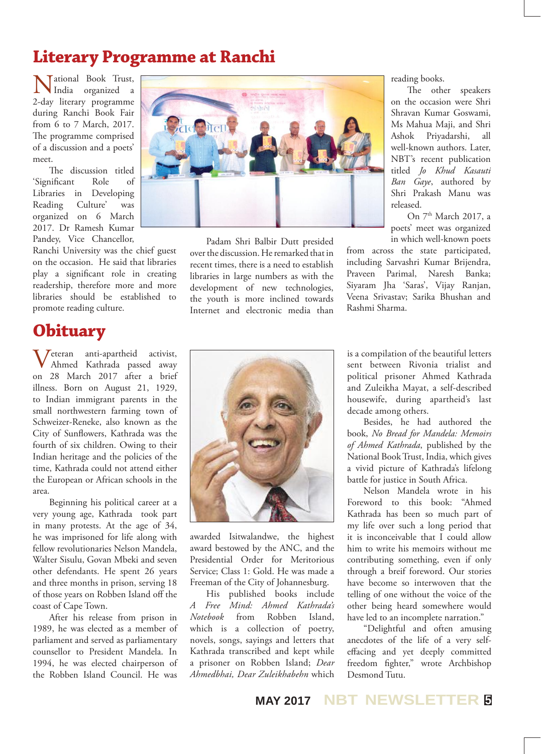# **Literary Programme at Ranchi**

National Book Trust, India organized a 2-day literary programme during Ranchi Book Fair from 6 to 7 March, 2017. The programme comprised of a discussion and a poets' meet.

The discussion titled 'Significant Role of Libraries in Developing Reading Culture' was organized on 6 March 2017. Dr Ramesh Kumar Pandey, Vice Chancellor,

Ranchi University was the chief guest on the occasion. He said that libraries play a significant role in creating readership, therefore more and more libraries should be established to promote reading culture.

## **Obituary**

Veteran anti-apartheid activist, Ahmed Kathrada passed away on 28 March 2017 after a brief illness. Born on August 21, 1929, to Indian immigrant parents in the small northwestern farming town of Schweizer-Reneke, also known as the City of Sunflowers, Kathrada was the fourth of six children. Owing to their Indian heritage and the policies of the time, Kathrada could not attend either the European or African schools in the area.

Beginning his political career at a very young age, Kathrada took part in many protests. At the age of 34, he was imprisoned for life along with fellow revolutionaries Nelson Mandela, Walter Sisulu, Govan Mbeki and seven other defendants. He spent 26 years and three months in prison, serving 18 of those years on Robben Island off the coast of Cape Town.

After his release from prison in 1989, he was elected as a member of parliament and served as parliamentary counsellor to President Mandela. In 1994, he was elected chairperson of the Robben Island Council. He was



Padam Shri Balbir Dutt presided over the discussion. He remarked that in recent times, there is a need to establish libraries in large numbers as with the development of new technologies, the youth is more inclined towards Internet and electronic media than reading books.

The other speakers on the occasion were Shri Shravan Kumar Goswami, Ms Mahua Maji, and Shri Ashok Priyadarshi, all well-known authors. Later, NBT's recent publication titled *Jo Khud Kasauti Ban Gaye*, authored by Shri Prakash Manu was released.

On 7<sup>th</sup> March 2017, a poets' meet was organized in which well-known poets

from across the state participated, including Sarvashri Kumar Brijendra, Praveen Parimal, Naresh Banka; Siyaram Jha 'Saras', Vijay Ranjan, Veena Srivastav; Sarika Bhushan and Rashmi Sharma.



awarded Isitwalandwe, the highest award bestowed by the ANC, and the Presidential Order for Meritorious Service; Class 1: Gold. He was made a Freeman of the City of Johannesburg.

His published books include *A Free Mind: Ahmed Kathrada's Notebook* from Robben Island, which is a collection of poetry, novels, songs, sayings and letters that Kathrada transcribed and kept while a prisoner on Robben Island; *Dear Ahmedbhai, Dear Zuleikhabehn* which

is a compilation of the beautiful letters sent between Rivonia trialist and political prisoner Ahmed Kathrada and Zuleikha Mayat, a self-described housewife, during apartheid's last decade among others.

Besides, he had authored the book, *No Bread for Mandela: Memoirs of Ahmed Kathrada*, published by the National Book Trust, India, which gives a vivid picture of Kathrada's lifelong battle for justice in South Africa.

Nelson Mandela wrote in his Foreword to this book: "Ahmed Kathrada has been so much part of my life over such a long period that it is inconceivable that I could allow him to write his memoirs without me contributing something, even if only through a breif foreword. Our stories have become so interwoven that the telling of one without the voice of the other being heard somewhere would have led to an incomplete narration."

"Delightful and often amusing anecdotes of the life of a very selfeffacing and yet deeply committed freedom fighter," wrote Archbishop Desmond Tutu.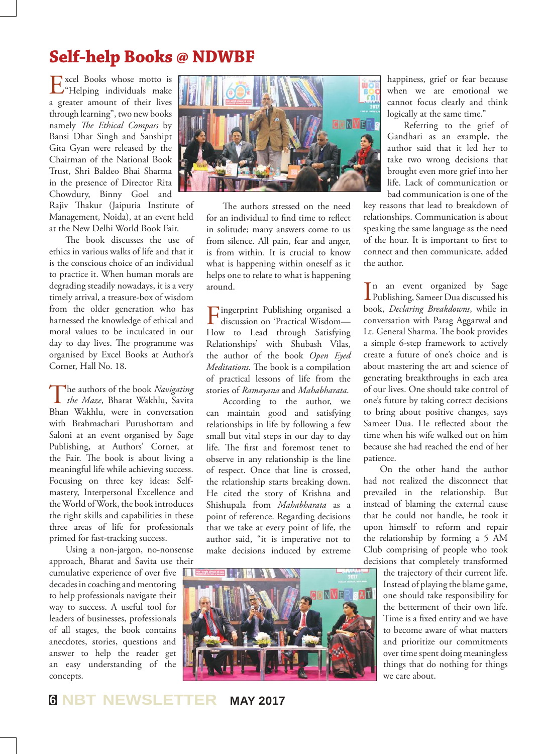# **Self-help Books @ NDWBF**

Excel Books whose motto is "Helping individuals make a greater amount of their lives through learning", two new books namely *The Ethical Compass* by Bansi Dhar Singh and Sanshipt Gita Gyan were released by the Chairman of the National Book Trust, Shri Baldeo Bhai Sharma in the presence of Director Rita Chowdury, Binny Goel and Rajiv Thakur (Jaipuria Institute of Management, Noida), at an event held at the New Delhi World Book Fair.

The book discusses the use of ethics in various walks of life and that it is the conscious choice of an individual to practice it. When human morals are degrading steadily nowadays, it is a very timely arrival, a treasure-box of wisdom from the older generation who has harnessed the knowledge of ethical and moral values to be inculcated in our day to day lives. The programme was organised by Excel Books at Author's Corner, Hall No. 18.

The authors of the book *Navigating the Maze*, Bharat Wakhlu, Savita Bhan Wakhlu, were in conversation with Brahmachari Purushottam and Saloni at an event organised by Sage Publishing, at Authors' Corner, at the Fair. The book is about living a meaningful life while achieving success. Focusing on three key ideas: Selfmastery, Interpersonal Excellence and the World of Work, the book introduces the right skills and capabilities in these three areas of life for professionals primed for fast-tracking success.

Using a non-jargon, no-nonsense approach, Bharat and Savita use their cumulative experience of over five decades in coaching and mentoring to help professionals navigate their way to success. A useful tool for leaders of businesses, professionals of all stages, the book contains anecdotes, stories, questions and answer to help the reader get an easy understanding of the concepts.



The authors stressed on the need for an individual to find time to reflect in solitude; many answers come to us from silence. All pain, fear and anger, is from within. It is crucial to know what is happening within oneself as it helps one to relate to what is happening around.

Fingerprint Publishing organised a discussion on 'Practical Wisdom— How to Lead through Satisfying Relationships' with Shubash Vilas, the author of the book *Open Eyed Meditations*. The book is a compilation of practical lessons of life from the stories of *Ramayana* and *Mahabharata*.

According to the author, we can maintain good and satisfying relationships in life by following a few small but vital steps in our day to day life. The first and foremost tenet to observe in any relationship is the line of respect. Once that line is crossed, the relationship starts breaking down. He cited the story of Krishna and Shishupala from *Mahabharata* as a point of reference. Regarding decisions that we take at every point of life, the author said, "it is imperative not to make decisions induced by extreme happiness, grief or fear because when we are emotional we cannot focus clearly and think logically at the same time."

Referring to the grief of Gandhari as an example, the author said that it led her to take two wrong decisions that brought even more grief into her life. Lack of communication or bad communication is one of the

key reasons that lead to breakdown of relationships. Communication is about speaking the same language as the need of the hour. It is important to first to connect and then communicate, added the author.

 $\prod_{\text{the}}$  an event organized by Sage<br>Publishing, Sameer Dua discussed his Publishing, Sameer Dua discussed his book, *Declaring Breakdowns*, while in conversation with Parag Aggarwal and Lt. General Sharma. The book provides a simple 6-step framework to actively create a future of one's choice and is about mastering the art and science of generating breakthroughs in each area of our lives. One should take control of one's future by taking correct decisions to bring about positive changes, says Sameer Dua. He reflected about the time when his wife walked out on him because she had reached the end of her patience.

On the other hand the author had not realized the disconnect that prevailed in the relationship. But instead of blaming the external cause that he could not handle, he took it upon himself to reform and repair the relationship by forming a 5 AM Club comprising of people who took decisions that completely transformed

the trajectory of their current life. Instead of playing the blame game, one should take responsibility for the betterment of their own life. Time is a fixed entity and we have to become aware of what matters and prioritize our commitments over time spent doing meaningless things that do nothing for things we care about.

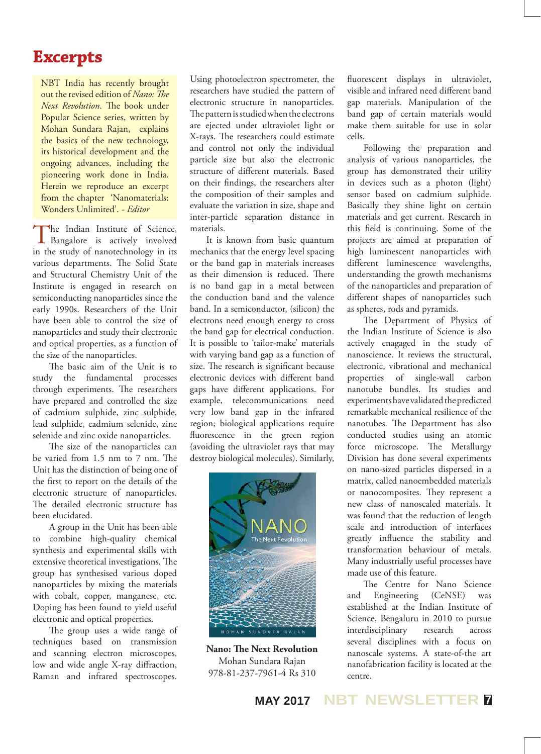#### **Excerpts**

NBT India has recently brought out the revised edition of *Nano: The Next Revolution*. The book under Popular Science series, written by Mohan Sundara Rajan, explains the basics of the new technology, its historical development and the ongoing advances, including the pioneering work done in India. Herein we reproduce an excerpt from the chapter 'Nanomaterials: Wonders Unlimited'. *- Editor*

The Indian Institute of Science, Bangalore is actively involved in the study of nanotechnology in its various departments. The Solid State and Structural Chemistry Unit of the Institute is engaged in research on semiconducting nanoparticles since the early 1990s. Researchers of the Unit have been able to control the size of nanoparticles and study their electronic and optical properties, as a function of the size of the nanoparticles.

The basic aim of the Unit is to study the fundamental processes through experiments. The researchers have prepared and controlled the size of cadmium sulphide, zinc sulphide, lead sulphide, cadmium selenide, zinc selenide and zinc oxide nanoparticles.

The size of the nanoparticles can be varied from 1.5 nm to 7 nm. The Unit has the distinction of being one of the first to report on the details of the electronic structure of nanoparticles. The detailed electronic structure has been elucidated.

A group in the Unit has been able to combine high-quality chemical synthesis and experimental skills with extensive theoretical investigations. The group has synthesised various doped nanoparticles by mixing the materials with cobalt, copper, manganese, etc. Doping has been found to yield useful electronic and optical properties.

The group uses a wide range of techniques based on transmission and scanning electron microscopes, low and wide angle X-ray diffraction, Raman and infrared spectroscopes.

Using photoelectron spectrometer, the researchers have studied the pattern of electronic structure in nanoparticles. The pattern is studied when the electrons are ejected under ultraviolet light or X-rays. The researchers could estimate and control not only the individual particle size but also the electronic structure of different materials. Based on their findings, the researchers alter the composition of their samples and evaluate the variation in size, shape and inter-particle separation distance in materials.

It is known from basic quantum mechanics that the energy level spacing or the band gap in materials increases as their dimension is reduced. There is no band gap in a metal between the conduction band and the valence band. In a semiconductor, (silicon) the electrons need enough energy to cross the band gap for electrical conduction. It is possible to 'tailor-make' materials with varying band gap as a function of size. The research is significant because electronic devices with different band gaps have different applications. For example, telecommunications need very low band gap in the infrared region; biological applications require fluorescence in the green region (avoiding the ultraviolet rays that may destroy biological molecules). Similarly,



**Nano: The Next Revolution** Mohan Sundara Rajan 978-81-237-7961-4 Rs 310

fluorescent displays in ultraviolet, visible and infrared need different band gap materials. Manipulation of the band gap of certain materials would make them suitable for use in solar cells.

Following the preparation and analysis of various nanoparticles, the group has demonstrated their utility in devices such as a photon (light) sensor based on cadmium sulphide. Basically they shine light on certain materials and get current. Research in this field is continuing. Some of the projects are aimed at preparation of high luminescent nanoparticles with different luminescence wavelengths, understanding the growth mechanisms of the nanoparticles and preparation of different shapes of nanoparticles such as spheres, rods and pyramids.

The Department of Physics of the Indian Institute of Science is also actively enagaged in the study of nanoscience. It reviews the structural, electronic, vibrational and mechanical properties of single-wall carbon nanotube bundles. Its studies and experiments have validated the predicted remarkable mechanical resilience of the nanotubes. The Department has also conducted studies using an atomic force microscope. The Metallurgy Division has done several experiments on nano-sized particles dispersed in a matrix, called nanoembedded materials or nanocomposites. They represent a new class of nanoscaled materials. It was found that the reduction of length scale and introduction of interfaces greatly influence the stability and transformation behaviour of metals. Many industrially useful processes have made use of this feature.

The Centre for Nano Science and Engineering (CeNSE) was established at the Indian Institute of Science, Bengaluru in 2010 to pursue interdisciplinary research across several disciplines with a focus on nanoscale systems. A state-of-the art nanofabrication facility is located at the centre.